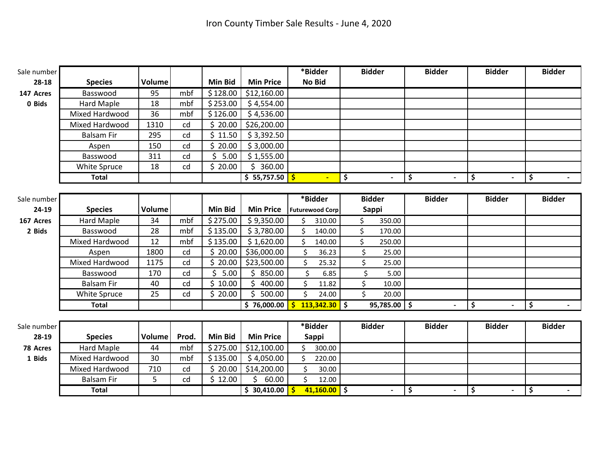| Sale number |                   |        |       |                |                  | *Bidder                |                 | <b>Bidder</b>      |           | <b>Bidder</b> | <b>Bidder</b> | <b>Bidder</b> |
|-------------|-------------------|--------|-------|----------------|------------------|------------------------|-----------------|--------------------|-----------|---------------|---------------|---------------|
| 28-18       | <b>Species</b>    | Volume |       | <b>Min Bid</b> | <b>Min Price</b> | <b>No Bid</b>          |                 |                    |           |               |               |               |
| 147 Acres   | Basswood          | 95     | mbf   | \$128.00       | \$12,160.00      |                        |                 |                    |           |               |               |               |
| 0 Bids      | <b>Hard Maple</b> | 18     | mbf   | \$253.00       | \$4,554.00       |                        |                 |                    |           |               |               |               |
|             | Mixed Hardwood    | 36     | mbf   | \$126.00       | \$4,536.00       |                        |                 |                    |           |               |               |               |
|             | Mixed Hardwood    | 1310   | cd    | \$20.00        | \$26,200.00      |                        |                 |                    |           |               |               |               |
|             | <b>Balsam Fir</b> | 295    | cd    | \$11.50        | \$3,392.50       |                        |                 |                    |           |               |               |               |
|             | Aspen             | 150    | cd    | \$<br>20.00    | \$3,000.00       |                        |                 |                    |           |               |               |               |
|             | Basswood          | 311    | cd    | Ś.<br>5.00     | \$1,555.00       |                        |                 |                    |           |               |               |               |
|             | White Spruce      | 18     | cd    | \$20.00        | \$360.00         |                        |                 |                    |           |               |               |               |
|             | <b>Total</b>      |        |       |                | \$55,757.50      |                        | $\blacksquare$  | \$                 |           | \$            | \$            | \$            |
|             |                   |        |       |                |                  |                        |                 |                    |           |               |               |               |
| Sale number |                   |        |       |                |                  | *Bidder                |                 | <b>Bidder</b>      |           | <b>Bidder</b> | <b>Bidder</b> | <b>Bidder</b> |
| 24-19       | <b>Species</b>    | Volume |       | <b>Min Bid</b> | <b>Min Price</b> | <b>Futurewood Corp</b> |                 | Sappi              |           |               |               |               |
| 167 Acres   | <b>Hard Maple</b> | 34     | mbf   | \$275.00       | \$9,350.00       | Ś.                     | 310.00          | \$                 | 350.00    |               |               |               |
| 2 Bids      | Basswood          | 28     | mbf   | \$135.00       | \$3,780.00       | \$                     | 140.00          | \$                 | 170.00    |               |               |               |
|             | Mixed Hardwood    | 12     | mbf   | \$135.00       | \$1,620.00       | Ś.                     | 140.00          | \$                 | 250.00    |               |               |               |
|             | Aspen             | 1800   | cd    | Ś.<br>20.00    | \$36,000.00      | \$                     | 36.23           | \$                 | 25.00     |               |               |               |
|             | Mixed Hardwood    | 1175   | cd    | \$20.00        | \$23,500.00      | \$                     | 25.32           | \$                 | 25.00     |               |               |               |
|             | Basswood          | 170    | cd    | \$<br>5.00     | \$850.00         | \$                     | 6.85            | \$                 | 5.00      |               |               |               |
|             | <b>Balsam Fir</b> | 40     | cd    | \$10.00        | \$<br>400.00     | \$                     | 11.82           | \$                 | 10.00     |               |               |               |
|             | White Spruce      | 25     | cd    | \$20.00        | Ś.<br>500.00     | \$                     | 24.00           | $\mathsf{\dot{S}}$ | 20.00     |               |               |               |
|             | <b>Total</b>      |        |       |                | \$76,000.00      |                        | $113,342.30$ \$ |                    | 95,785.00 | \$            | \$            | \$            |
|             |                   |        |       |                |                  |                        |                 |                    |           |               |               |               |
| Sale number |                   |        |       |                |                  | *Bidder                |                 | <b>Bidder</b>      |           | <b>Bidder</b> | <b>Bidder</b> | <b>Bidder</b> |
| 28-19       | <b>Species</b>    | Volume | Prod. | <b>Min Bid</b> | <b>Min Price</b> | <b>Sappi</b>           |                 |                    |           |               |               |               |
| 78 Acres    | Hard Maple        | 44     | mbf   | \$275.00       | \$12,100.00      | Ś.                     | 300.00          |                    |           |               |               |               |
| 1 Bids      | Mixed Hardwood    | 30     | mbf   | \$135.00       | \$4,050.00       | Ś.                     | 220.00          |                    |           |               |               |               |
|             | Mixed Hardwood    | 710    | cd    | \$20.00        | \$14,200.00      | \$                     | 30.00           |                    |           |               |               |               |
|             | <b>Balsam Fir</b> | 5      | cd    | \$12.00        | 60.00<br>Ś.      | $\mathsf{\dot{S}}$     | 12.00           |                    |           |               |               |               |
|             | <b>Total</b>      |        |       |                | \$30,410.00      | $\mathsf{\dot{s}}$     | $41,160.00$ \$  |                    |           | \$            | \$            | \$            |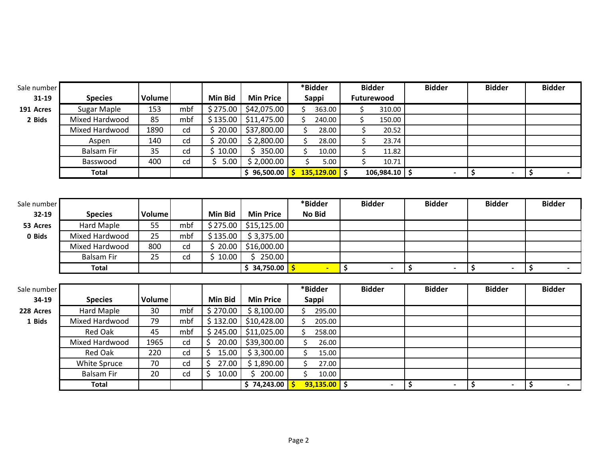| Sale number |                       |        |     |                |                  |                    | *Bidder         | <b>Bidder</b>      |                 | <b>Bidder</b>            |                      | <b>Bidder</b>  | <b>Bidder</b> |  |
|-------------|-----------------------|--------|-----|----------------|------------------|--------------------|-----------------|--------------------|-----------------|--------------------------|----------------------|----------------|---------------|--|
| $31 - 19$   | <b>Species</b>        | Volume |     | <b>Min Bid</b> | <b>Min Price</b> |                    | <b>Sappi</b>    | Futurewood         |                 |                          |                      |                |               |  |
| 191 Acres   | Sugar Maple           | 153    | mbf | \$275.00       | \$42,075.00      | $\mathsf{S}$       | 363.00          | \$                 | 310.00          |                          |                      |                |               |  |
| 2 Bids      | Mixed Hardwood        | 85     | mbf | \$135.00       | \$11,475.00      | \$                 | 240.00          | \$                 | 150.00          |                          |                      |                |               |  |
|             | <b>Mixed Hardwood</b> | 1890   | cd  | \$20.00        | \$37,800.00      | \$                 | 28.00           | \$                 | 20.52           |                          |                      |                |               |  |
|             | Aspen                 | 140    | cd  | \$20.00        | \$2,800.00       | \$                 | 28.00           | \$                 | 23.74           |                          |                      |                |               |  |
|             | <b>Balsam Fir</b>     | 35     | cd  | \$10.00        | \$350.00         | \$                 | 10.00           | \$                 | 11.82           |                          |                      |                |               |  |
|             | Basswood              | 400    | cd  | \$<br>5.00     | \$2,000.00       | $\zeta$            | 5.00            | $\mathsf{\dot{S}}$ | 10.71           |                          |                      |                |               |  |
|             | <b>Total</b>          |        |     |                | \$96,500.00      | $\mathsf{S}$       | $135,129.00$ \$ |                    | $106,984.10$ \$ | $\overline{\phantom{0}}$ | $\overline{\bullet}$ | $\blacksquare$ | \$            |  |
| Sale number |                       |        |     |                |                  |                    | *Bidder         | <b>Bidder</b>      |                 | <b>Bidder</b>            |                      | <b>Bidder</b>  | <b>Bidder</b> |  |
| 32-19       | <b>Species</b>        | Volume |     | <b>Min Bid</b> | <b>Min Price</b> |                    | <b>No Bid</b>   |                    |                 |                          |                      |                |               |  |
| 53 Acres    | Hard Maple            | 55     | mbf | \$275.00       | \$15,125.00      |                    |                 |                    |                 |                          |                      |                |               |  |
| 0 Bids      | Mixed Hardwood        | 25     | mbf | \$135.00       | \$3,375.00       |                    |                 |                    |                 |                          |                      |                |               |  |
|             | Mixed Hardwood        | 800    | cd  | Ś.<br>20.00    | \$16,000.00      |                    |                 |                    |                 |                          |                      |                |               |  |
|             | <b>Balsam Fir</b>     | 25     | cd  | \$10.00        | \$250.00         |                    |                 |                    |                 |                          |                      |                |               |  |
|             | <b>Total</b>          |        |     |                | \$34,750.00      |                    |                 | \$                 |                 | \$                       | $\overline{\bullet}$ |                | \$            |  |
|             |                       |        |     |                |                  |                    |                 |                    |                 |                          |                      |                |               |  |
| Sale number |                       |        |     |                |                  |                    | *Bidder         | <b>Bidder</b>      |                 | <b>Bidder</b>            |                      | <b>Bidder</b>  | <b>Bidder</b> |  |
| 34-19       | <b>Species</b>        | Volume |     | Min Bid        | <b>Min Price</b> |                    | <b>Sappi</b>    |                    |                 |                          |                      |                |               |  |
| 228 Acres   | <b>Hard Maple</b>     | 30     | mbf | \$270.00       | \$8,100.00       | Ś.                 | 295.00          |                    |                 |                          |                      |                |               |  |
| 1 Bids      | Mixed Hardwood        | 79     | mbf | \$132.00       | \$10,428.00      | $\mathsf{\hat{S}}$ | 205.00          |                    |                 |                          |                      |                |               |  |
|             | <b>Red Oak</b>        | 45     | mbf | \$245.00       | \$11,025.00      | \$                 | 258.00          |                    |                 |                          |                      |                |               |  |
|             | Mixed Hardwood        | 1965   | cd  | \$<br>20.00    | \$39,300.00      | \$                 | 26.00           |                    |                 |                          |                      |                |               |  |
|             | <b>Red Oak</b>        | 220    | cd  | \$<br>15.00    | \$3,300.00       | \$                 | 15.00           |                    |                 |                          |                      |                |               |  |
|             | White Spruce          | 70     | cd  | \$<br>27.00    | \$1,890.00       | \$                 | 27.00           |                    |                 |                          |                      |                |               |  |
|             | <b>Balsam Fir</b>     | 20     | cd  | \$<br>10.00    | \$.<br>200.00    | $\zeta$            | 10.00           |                    |                 |                          |                      |                |               |  |
|             | <b>Total</b>          |        |     |                | \$74,243.00      | -\$                | $93,135.00$ \$  |                    |                 | \$                       | \$                   |                | \$            |  |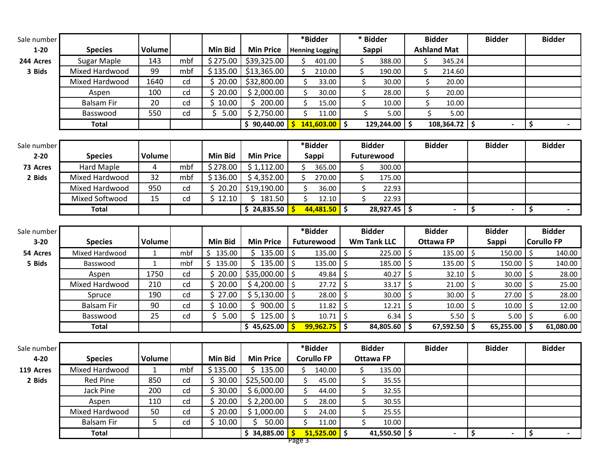| Sale number |                              |               |          |                    |                           |            | *Bidder                |         | * Bidder                   |         | <b>Bidder</b>      |            | <b>Bidder</b> |         | <b>Bidder</b>     |
|-------------|------------------------------|---------------|----------|--------------------|---------------------------|------------|------------------------|---------|----------------------------|---------|--------------------|------------|---------------|---------|-------------------|
| $1 - 20$    | <b>Species</b>               | Volume        |          | <b>Min Bid</b>     | <b>Min Price</b>          |            | <b>Henning Logging</b> |         | <b>Sappi</b>               |         | <b>Ashland Mat</b> |            |               |         |                   |
| 244 Acres   | Sugar Maple                  | 143           | mbf      | \$275.00           | \$39,325.00               | Ś.         | 401.00                 | \$      | 388.00                     |         | \$<br>345.24       |            |               |         |                   |
| 3 Bids      | <b>Mixed Hardwood</b>        | 99            | mbf      | \$135.00           | \$13,365.00               | \$         | 210.00                 | \$      | 190.00                     |         | \$<br>214.60       |            |               |         |                   |
|             | <b>Mixed Hardwood</b>        | 1640          | cd       | \$20.00            | \$32,800.00               | \$         | 33.00                  |         | \$<br>30.00                |         | \$<br>20.00        |            |               |         |                   |
|             | Aspen                        | 100           | cd       | \$20.00            | \$2,000.00                | \$         | 30.00                  |         | \$<br>28.00                |         | \$<br>20.00        |            |               |         |                   |
|             | <b>Balsam Fir</b>            | 20            | cd       | \$10.00            | \$200.00                  | \$         | 15.00                  |         | \$<br>10.00                |         | \$<br>10.00        |            |               |         |                   |
|             | Basswood                     | 550           | cd       | \$.<br>5.00        | \$2,750.00                | \$         | 11.00                  |         | \$<br>5.00                 |         | \$<br>5.00         |            |               |         |                   |
|             | <b>Total</b>                 |               |          |                    | \$90,440.00               | -\$        | $141,603.00$ \$        |         | 129,244.00                 | \$      | $108,364.72$ \$    |            |               | \$      |                   |
|             |                              |               |          |                    |                           |            |                        |         |                            |         |                    |            |               |         |                   |
| Sale number |                              |               |          |                    |                           |            | *Bidder                |         | <b>Bidder</b>              |         | <b>Bidder</b>      |            | <b>Bidder</b> |         | <b>Bidder</b>     |
| $2 - 20$    | <b>Species</b>               | <b>Volume</b> |          | <b>Min Bid</b>     | <b>Min Price</b>          |            | <b>Sappi</b>           |         | Futurewood                 |         |                    |            |               |         |                   |
| 73 Acres    | Hard Maple                   | 4             | mbf      | \$278.00           | \$1,112.00                | \$.        | 365.00                 | \$      | 300.00                     |         |                    |            |               |         |                   |
| 2 Bids      | Mixed Hardwood               | 32            | mbf      | \$136.00           | \$4,352.00                | \$         | 270.00                 | \$      | 175.00                     |         |                    |            |               |         |                   |
|             | <b>Mixed Hardwood</b>        | 950           | cd       | \$20.20            | \$19,190.00               | \$         | 36.00                  |         | \$<br>22.93                |         |                    |            |               |         |                   |
|             | Mixed Softwood               | 15            | cd       | \$12.10            | \$181.50                  | \$         | 12.10                  |         | \$<br>22.93                |         |                    |            |               |         |                   |
|             | <b>Total</b>                 |               |          |                    | \$24,835.50               | <b>S</b>   | $44,481.50$ \$         |         | $28,927.45$ \$             |         |                    | \$         |               | \$      |                   |
|             |                              |               |          |                    |                           |            |                        |         |                            |         |                    |            |               |         |                   |
| Sale number |                              |               |          |                    |                           |            | *Bidder                |         | <b>Bidder</b>              |         | <b>Bidder</b>      |            | <b>Bidder</b> |         | <b>Bidder</b>     |
|             |                              |               |          |                    |                           |            |                        |         |                            |         |                    |            |               |         |                   |
| $3 - 20$    | <b>Species</b>               | <b>Volume</b> |          | <b>Min Bid</b>     | <b>Min Price</b>          |            | Futurewood             |         | <b>Wm Tank LLC</b>         |         | <b>Ottawa FP</b>   |            | <b>Sappi</b>  |         | <b>Corullo FP</b> |
| 54 Acres    | Mixed Hardwood               | 1             | mbf      | \$135.00           | \$135.00                  | \$         | 135.00                 | \$      | $225.00$   \$              |         | 135.00             | l \$       | 150.00        | \$      | 140.00            |
| 5 Bids      | Basswood                     | 1             | mbf      | \$<br>135.00       | $$135.00$ $$$             |            | 135.00 $\vert$ \$      |         | 185.00                     | $\zeta$ | $135.00$   \$      |            | 150.00        | \$      | 140.00            |
|             | Aspen                        | 1750          | cd       | \$20.00            | $$35,000.00$   \$         |            | 49.84 $\frac{1}{2}$    |         | 40.27                      | \$      | 32.10              | $\vert$ \$ | 30.00         | \$      | 28.00             |
|             | <b>Mixed Hardwood</b>        | 210           | cd       | \$20.00            | \$4,200.00                | $\sqrt{5}$ | 27.72                  | $\zeta$ | 33.17                      | \$      | 21.00              | ۱\$        | 30.00         | $\zeta$ | 25.00             |
|             | Spruce                       | 190           | cd       | \$27.00            | \$5,130.00                | $\sqrt{5}$ | 28.00                  | \$      | 30.00                      | \$      | 30.00              | \$ ا       | 27.00         | \$      | 28.00             |
|             | <b>Balsam Fir</b>            | 90            | cd       | \$10.00            | 900.00<br>Ŝ.              | \$         | $11.82$ \$             |         | 12.21                      | $\zeta$ | 10.00              | ۱\$        | 10.00         | $\zeta$ | 12.00             |
|             | Basswood                     | 25            | cd       | \$.<br>5.00        | $125.00$   \$<br>Ś.       |            | $10.71$ \$             |         | $6.34$ \$                  |         | $5.50$   \$        |            | $5.00$   \$   |         | 6.00              |
|             | <b>Total</b>                 |               |          |                    | \$45,625.00               | -S         | $99,962.75$ \$         |         | 84,805.60                  | \$.     | $67,592.50$   \$   |            | 65,255.00     | -S      | 61,080.00         |
|             |                              |               |          |                    |                           |            |                        |         |                            |         |                    |            |               |         |                   |
| Sale number |                              |               |          |                    |                           |            | *Bidder                |         | <b>Bidder</b>              |         | <b>Bidder</b>      |            | <b>Bidder</b> |         | <b>Bidder</b>     |
| $4 - 20$    | <b>Species</b>               | <b>Volume</b> |          | Min Bid            | <b>Min Price</b>          |            | <b>Corullo FP</b>      |         | <b>Ottawa FP</b>           |         |                    |            |               |         |                   |
| 119 Acres   | Mixed Hardwood               | $\mathbf{1}$  | mbf      | \$135.00           | \$135.00                  | \$         | 140.00                 | \$      | 135.00                     |         |                    |            |               |         |                   |
| 2 Bids      | Red Pine                     | 850           | cd       | \$30.00            | \$25,500.00               | \$         | 45.00                  |         | \$<br>35.55                |         |                    |            |               |         |                   |
|             | Jack Pine                    | 200           | cd       | Ś.<br>30.00        | \$6,000.00                | \$         | 44.00                  |         | \$<br>32.55                |         |                    |            |               |         |                   |
|             | Aspen                        | 110           | cd       | \$20.00            | \$2,200.00                | \$         | 28.00                  |         | \$<br>30.55                |         |                    |            |               |         |                   |
|             | Mixed Hardwood<br>Balsam Fir | 50<br>5       | cd<br>cd | \$20.00<br>\$10.00 | \$1,000.00<br>\$<br>50.00 | \$<br>\$   | 24.00<br>11.00         |         | \$<br>25.55<br>\$<br>10.00 |         |                    |            |               |         |                   |

Page 3

**Total \$ 34,885.00 \$ 51,525.00 \$ 41,550.50 \$ - \$ - \$ -**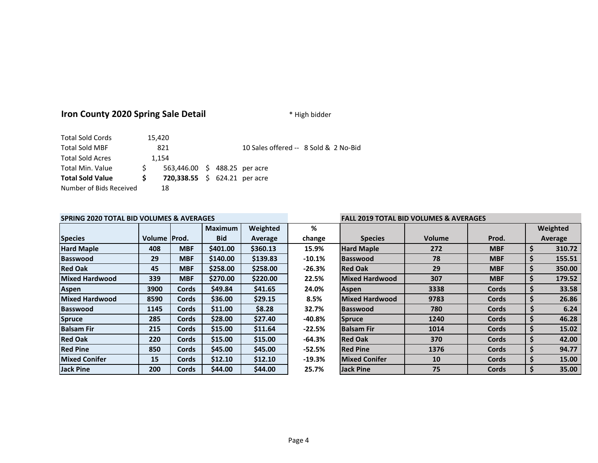## **Iron County 2020 Spring Sale Detail Example 2020 Spring Sale Detail**  $*$  High bidder

| Number of Bids Received |    | 18                                   |  |                                       |  |
|-------------------------|----|--------------------------------------|--|---------------------------------------|--|
| <b>Total Sold Value</b> | S. | <b>720,338.55</b> \$ 624.21 per acre |  |                                       |  |
| Total Min. Value        | S. | 563,446.00 \$ 488.25 per acre        |  |                                       |  |
| <b>Total Sold Acres</b> |    | 1.154                                |  |                                       |  |
| <b>Total Sold MBF</b>   |    | 821                                  |  | 10 Sales offered -- 8 Sold & 2 No-Bid |  |
| <b>Total Sold Cords</b> |    | 15,420                               |  |                                       |  |

## **SPRING 2020 TOTAL BID VOLUMES & AVERAGES FALL 2019 TOTAL BID VOLUMES & AVERAGES**

|                       |        |              | <b>Maximum</b> | Weighted | %        |                       |               |              |    | Weighted |
|-----------------------|--------|--------------|----------------|----------|----------|-----------------------|---------------|--------------|----|----------|
| <b>Species</b>        | Volume | Prod.        | <b>Bid</b>     | Average  | change   | <b>Species</b>        | <b>Volume</b> | Prod.        |    | Average  |
| <b>Hard Maple</b>     | 408    | <b>MBF</b>   | \$401.00       | \$360.13 | 15.9%    | <b>Hard Maple</b>     | 272           | <b>MBF</b>   | \$ | 310.72   |
| <b>Basswood</b>       | 29     | <b>MBF</b>   | \$140.00       | \$139.83 | $-10.1%$ | <b>Basswood</b>       | 78            | <b>MBF</b>   | \$ | 155.51   |
| <b>Red Oak</b>        | 45     | <b>MBF</b>   | \$258.00       | \$258.00 | $-26.3%$ | <b>Red Oak</b>        | 29            | <b>MBF</b>   | Ş  | 350.00   |
| <b>Mixed Hardwood</b> | 339    | <b>MBF</b>   | \$270.00       | \$220.00 | 22.5%    | <b>Mixed Hardwood</b> | 307           | <b>MBF</b>   | \$ | 179.52   |
| <b>Aspen</b>          | 3900   | Cords        | \$49.84        | \$41.65  | 24.0%    | <b>Aspen</b>          | 3338          | Cords        | \$ | 33.58    |
| <b>Mixed Hardwood</b> | 8590   | Cords        | \$36.00        | \$29.15  | 8.5%     | <b>Mixed Hardwood</b> | 9783          | Cords        | S. | 26.86    |
| Basswood              | 1145   | Cords        | \$11.00        | \$8.28   | 32.7%    | <b>Basswood</b>       | 780           | Cords        | \$ | 6.24     |
| <b>Spruce</b>         | 285    | <b>Cords</b> | \$28.00        | \$27.40  | $-40.8%$ | <b>Spruce</b>         | 1240          | <b>Cords</b> | \$ | 46.28    |
| <b>Balsam Fir</b>     | 215    | <b>Cords</b> | \$15.00        | \$11.64  | $-22.5%$ | <b>Balsam Fir</b>     | 1014          | Cords        | S. | 15.02    |
| <b>Red Oak</b>        | 220    | Cords        | \$15.00        | \$15.00  | $-64.3%$ | <b>Red Oak</b>        | 370           | Cords        | \$ | 42.00    |
| <b>Red Pine</b>       | 850    | Cords        | \$45.00        | \$45.00  | $-52.5%$ | <b>Red Pine</b>       | 1376          | Cords        | \$ | 94.77    |
| <b>Mixed Conifer</b>  | 15     | <b>Cords</b> | \$12.10        | \$12.10  | $-19.3%$ | <b>Mixed Conifer</b>  | 10            | <b>Cords</b> | \$ | 15.00    |
| <b>Jack Pine</b>      | 200    | <b>Cords</b> | \$44.00        | \$44.00  | 25.7%    | Jack Pine             | 75            | Cords        | \$ | 35.00    |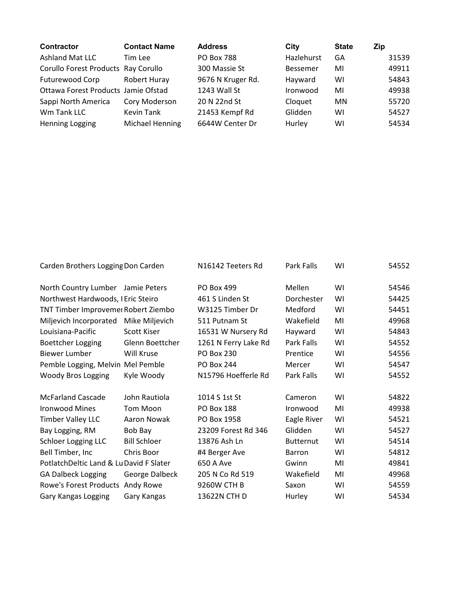| Contractor                          | <b>Contact Name</b> | <b>Address</b>    | City            | <b>State</b> | Zip   |
|-------------------------------------|---------------------|-------------------|-----------------|--------------|-------|
| Ashland Mat LLC                     | Tim Lee             | <b>PO Box 788</b> | Hazlehurst      | GA           | 31539 |
| Corullo Forest Products Ray Corullo |                     | 300 Massie St     | <b>Bessemer</b> | MI           | 49911 |
| Futurewood Corp                     | Robert Huray        | 9676 N Kruger Rd. | Hayward         | W١           | 54843 |
| Ottawa Forest Products Jamie Ofstad |                     | 1243 Wall St      | Ironwood        | MI           | 49938 |
| Sappi North America                 | Cory Moderson       | 20 N 22nd St      | Cloquet         | MN           | 55720 |
| Wm Tank LLC                         | <b>Kevin Tank</b>   | 21453 Kempf Rd    | Glidden         | W١           | 54527 |
| Henning Logging                     | Michael Henning     | 6644W Center Dr   | Hurley          | WI           | 54534 |

| Carden Brothers Logging Don Carden     |                                                                                                                                                                                                                                                                                                                                                                            |                                                                                                                                                                                                                                             | 54552                                                                                                                |
|----------------------------------------|----------------------------------------------------------------------------------------------------------------------------------------------------------------------------------------------------------------------------------------------------------------------------------------------------------------------------------------------------------------------------|---------------------------------------------------------------------------------------------------------------------------------------------------------------------------------------------------------------------------------------------|----------------------------------------------------------------------------------------------------------------------|
| North Country Lumber Jamie Peters      |                                                                                                                                                                                                                                                                                                                                                                            |                                                                                                                                                                                                                                             | 54546                                                                                                                |
| Northwest Hardwoods, I Eric Steiro     |                                                                                                                                                                                                                                                                                                                                                                            |                                                                                                                                                                                                                                             | 54425                                                                                                                |
| TNT Timber Improvemer Robert Ziembo    |                                                                                                                                                                                                                                                                                                                                                                            |                                                                                                                                                                                                                                             | 54451                                                                                                                |
| Mike Miljevich                         |                                                                                                                                                                                                                                                                                                                                                                            |                                                                                                                                                                                                                                             | 49968                                                                                                                |
| Scott Kiser                            | Hayward                                                                                                                                                                                                                                                                                                                                                                    |                                                                                                                                                                                                                                             | 54843                                                                                                                |
| Glenn Boettcher                        |                                                                                                                                                                                                                                                                                                                                                                            |                                                                                                                                                                                                                                             | 54552                                                                                                                |
| Will Kruse                             |                                                                                                                                                                                                                                                                                                                                                                            |                                                                                                                                                                                                                                             | 54556                                                                                                                |
| Pemble Logging, Melvin Mel Pemble      |                                                                                                                                                                                                                                                                                                                                                                            |                                                                                                                                                                                                                                             | 54547                                                                                                                |
| Kyle Woody                             |                                                                                                                                                                                                                                                                                                                                                                            |                                                                                                                                                                                                                                             | 54552                                                                                                                |
| John Rautiola                          |                                                                                                                                                                                                                                                                                                                                                                            |                                                                                                                                                                                                                                             | 54822                                                                                                                |
| <b>Tom Moon</b>                        |                                                                                                                                                                                                                                                                                                                                                                            |                                                                                                                                                                                                                                             | 49938                                                                                                                |
| Aaron Nowak                            |                                                                                                                                                                                                                                                                                                                                                                            |                                                                                                                                                                                                                                             | 54521                                                                                                                |
| Bob Bay                                |                                                                                                                                                                                                                                                                                                                                                                            |                                                                                                                                                                                                                                             | 54527                                                                                                                |
| <b>Bill Schloer</b>                    |                                                                                                                                                                                                                                                                                                                                                                            |                                                                                                                                                                                                                                             | 54514                                                                                                                |
| Chris Boor                             |                                                                                                                                                                                                                                                                                                                                                                            |                                                                                                                                                                                                                                             | 54812                                                                                                                |
| PotlatchDeltic Land & LuDavid F Slater |                                                                                                                                                                                                                                                                                                                                                                            |                                                                                                                                                                                                                                             | 49841                                                                                                                |
| George Dalbeck                         |                                                                                                                                                                                                                                                                                                                                                                            |                                                                                                                                                                                                                                             | 49968                                                                                                                |
| Andy Rowe                              |                                                                                                                                                                                                                                                                                                                                                                            |                                                                                                                                                                                                                                             | 54559                                                                                                                |
| Gary Kangas                            |                                                                                                                                                                                                                                                                                                                                                                            |                                                                                                                                                                                                                                             | 54534                                                                                                                |
|                                        | N16142 Teeters Rd<br>PO Box 499<br>461 S Linden St<br>W3125 Timber Dr<br>511 Putnam St<br>16531 W Nursery Rd<br>1261 N Ferry Lake Rd<br>PO Box 230<br><b>PO Box 244</b><br>N15796 Hoefferle Rd<br>1014 S 1st St<br><b>PO Box 188</b><br>PO Box 1958<br>23209 Forest Rd 346<br>13876 Ash Ln<br>#4 Berger Ave<br>650 A Ave<br>205 N Co Rd 519<br>9260W CTH B<br>13622N CTH D | Park Falls<br>Mellen<br>Dorchester<br>Medford<br>Wakefield<br>Park Falls<br>Prentice<br>Mercer<br>Park Falls<br>Cameron<br>Ironwood<br>Eagle River<br>Glidden<br><b>Butternut</b><br><b>Barron</b><br>Gwinn<br>Wakefield<br>Saxon<br>Hurley | WI<br>WI<br>WI<br>WI<br>MI<br>WI<br>WI<br>WI<br>WI<br>WI<br>WI<br>MI<br>WI<br>WI<br>WI<br>WI<br>MI<br>MI<br>WI<br>WI |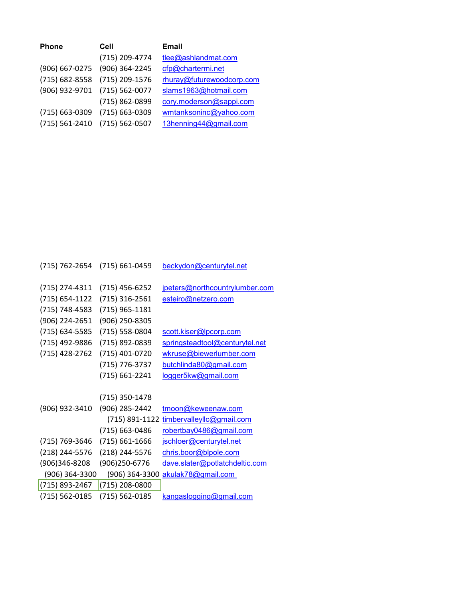| <b>Phone</b>   | Cell           | Email                     |
|----------------|----------------|---------------------------|
|                | (715) 209-4774 | tlee@ashlandmat.com       |
| (906) 667-0275 | (906) 364-2245 | cfp@chartermi.net         |
| (715) 682-8558 | (715) 209-1576 | rhuray@futurewoodcorp.com |
| (906) 932-9701 | (715) 562-0077 | slams1963@hotmail.com     |
|                | (715) 862-0899 | cory.moderson@sappi.com   |
| (715) 663-0309 | (715) 663-0309 | wmtanksoninc@yahoo.com    |
| (715) 561-2410 | (715) 562-0507 | 13henning44@gmail.com     |

| (715) 762-2654     | (715) 661-0459     | beckydon@centurytel.net        |
|--------------------|--------------------|--------------------------------|
| (715) 274-4311     | $(715)$ 456-6252   | jpeters@northcountrylumber.com |
| $(715) 654 - 1122$ | $(715)$ 316-2561   | esteiro@netzero.com            |
| (715) 748-4583     | $(715)$ 965-1181   |                                |
| (906) 224-2651     | (906) 250-8305     |                                |
| (715) 634-5585     | (715) 558-0804     | scott.kiser@lpcorp.com         |
| (715) 492-9886     | (715) 892-0839     | springsteadtool@centurytel.net |
| (715) 428-2762     | (715) 401-0720     | wkruse@biewerlumber.com        |
|                    | (715) 776-3737     | butchlinda80@gmail.com         |
|                    | (715) 661-2241     | logger5kw@gmail.com            |
|                    |                    |                                |
|                    | (715) 350-1478     |                                |
| (906) 932-3410     | (906) 285-2442     | tmoon@keweenaw.com             |
|                    | (715) 891-1122     | timbervalleyllc@gmail.com      |
|                    | (715) 663-0486     | robertbay0486@gmail.com        |
| (715) 769-3646     | $(715) 661 - 1666$ | jschloer@centurytel.net        |
| (218) 244-5576     | (218) 244-5576     | chris.boor@blpole.com          |
| (906)346-8208      | (906)250-6776      | dave.slater@potlatchdeltic.com |
| (906) 364-3300     | (906) 364-3300     | akulak78@gmail.com             |
| (715) 893-2467     | (715) 208-0800     |                                |
| (715) 562-0185     | (715) 562-0185     | kangaslogging@gmail.com        |
|                    |                    |                                |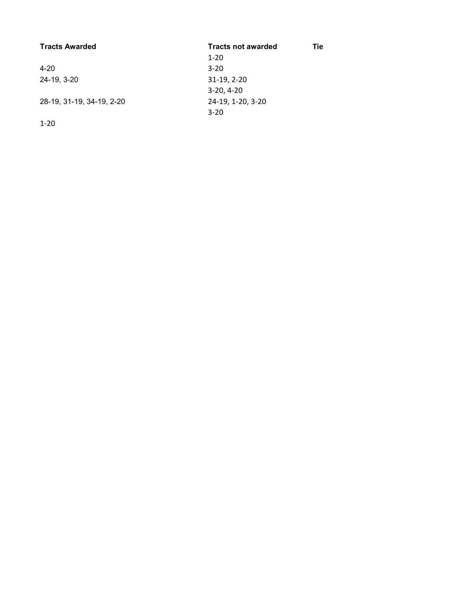| <b>Tracts Awarded</b>     | <b>Tracts not awarded</b> | Tie |
|---------------------------|---------------------------|-----|
|                           | $1 - 20$                  |     |
| $4 - 20$                  | $3 - 20$                  |     |
| 24-19, 3-20               | $31-19, 2-20$             |     |
|                           | $3-20.4-20$               |     |
| 28-19, 31-19, 34-19, 2-20 | 24-19, 1-20, 3-20         |     |
|                           | $3 - 20$                  |     |

1-20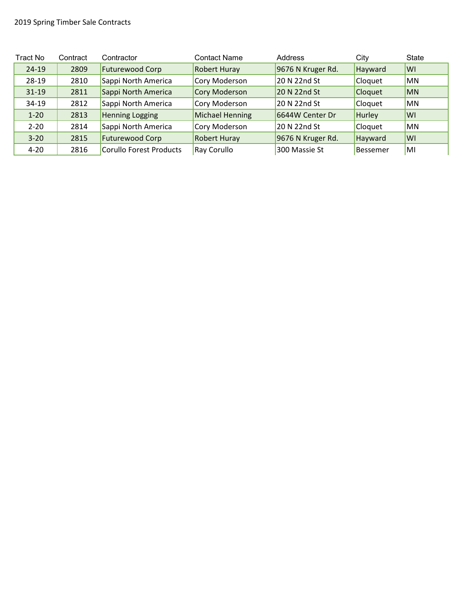| Tract No  | Contract | Contractor                     | Contact Name        | Address           | City           | <b>State</b> |
|-----------|----------|--------------------------------|---------------------|-------------------|----------------|--------------|
| $24 - 19$ | 2809     | Futurewood Corp                | <b>Robert Huray</b> | 9676 N Kruger Rd. | Hayward        | WI           |
| $28-19$   | 2810     | Sappi North America            | Cory Moderson       | 20 N 22nd St      | Cloquet        | <b>MN</b>    |
| $31 - 19$ | 2811     | Sappi North America            | Cory Moderson       | 20 N 22nd St      | <b>Cloquet</b> | <b>MN</b>    |
| $34-19$   | 2812     | Sappi North America            | Cory Moderson       | 20 N 22nd St      | Cloquet        | <b>MN</b>    |
| $1 - 20$  | 2813     | <b>Henning Logging</b>         | Michael Henning     | 6644W Center Dr   | Hurley         | <b>WI</b>    |
| $2 - 20$  | 2814     | Sappi North America            | Cory Moderson       | 20 N 22nd St      | Cloquet        | <b>MN</b>    |
| $3 - 20$  | 2815     | <b>Futurewood Corp</b>         | <b>Robert Huray</b> | 9676 N Kruger Rd. | Hayward        | <b>WI</b>    |
| $4 - 20$  | 2816     | <b>Corullo Forest Products</b> | Ray Corullo         | 300 Massie St     | Bessemer       | MI           |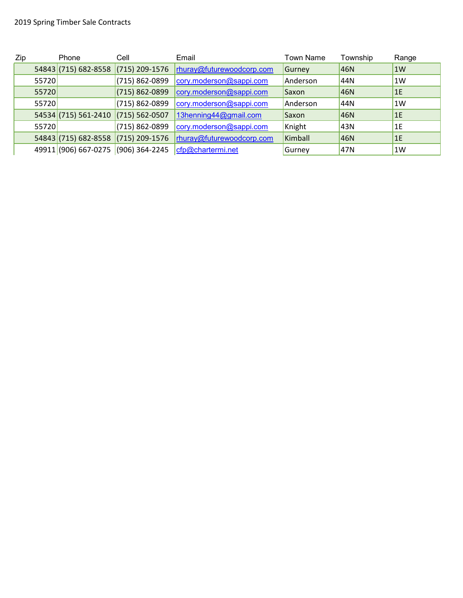| Zip |       | Phone                               | Cell               | Email                     | <b>Town Name</b> | Township | Range |
|-----|-------|-------------------------------------|--------------------|---------------------------|------------------|----------|-------|
|     |       | 54843 (715) 682-8558                | $(715)$ 209-1576   | rhuray@futurewoodcorp.com | Gurney           | 46N      | 1W    |
|     | 55720 |                                     | (715) 862-0899     | cory.moderson@sappi.com   | Anderson         | 44N      | 1W    |
|     | 55720 |                                     | $(715) 862 - 0899$ | cory.moderson@sappi.com   | Saxon            | 46N      | 1E    |
|     | 55720 |                                     | (715) 862-0899     | cory.moderson@sappi.com   | Anderson         | 44N      | 1W    |
|     |       | 54534 (715) 561-2410                | $(715) 562 - 0507$ | 13henning44@gmail.com     | Saxon            | 46N      | 1E    |
|     | 55720 |                                     | (715) 862-0899     | cory.moderson@sappi.com   | Knight           | 43N      | 1E    |
|     |       | 54843 (715) 682-8558 (715) 209-1576 |                    | rhuray@futurewoodcorp.com | Kimball          | 46N      | 1E    |
|     |       | 49911 (906) 667-0275                | $(906) 364 - 2245$ | cfp@chartermi.net         | Gurney           | 47N      | 1W    |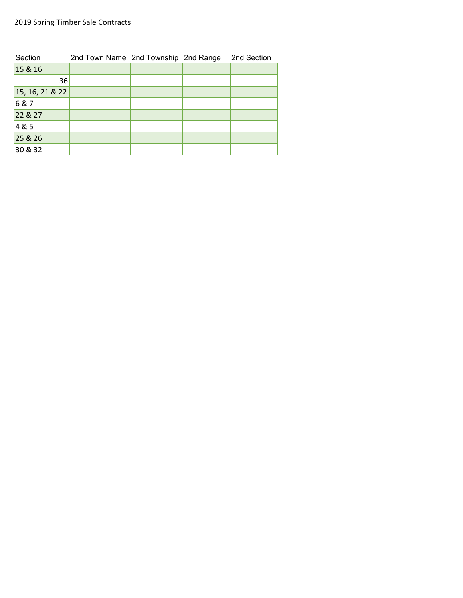## 2019 Spring Timber Sale Contracts

| Section              | 2nd Town Name 2nd Township 2nd Range |  | 2nd Section |
|----------------------|--------------------------------------|--|-------------|
| 15 & 16              |                                      |  |             |
| 36                   |                                      |  |             |
| $ 15, 16, 21 \& 22 $ |                                      |  |             |
| 6&7                  |                                      |  |             |
| 22 & 27              |                                      |  |             |
| 4 & 5                |                                      |  |             |
| 25 & 26              |                                      |  |             |
| 30 & 32              |                                      |  |             |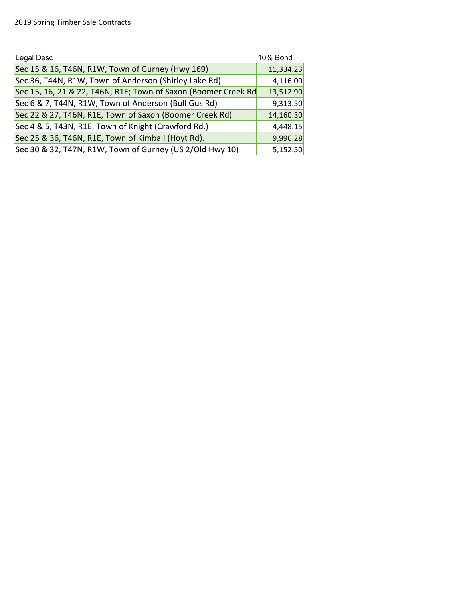| Legal Desc                                                     | <b>10% Bond</b> |
|----------------------------------------------------------------|-----------------|
| Sec 15 & 16, T46N, R1W, Town of Gurney (Hwy 169)               | 11,334.23       |
| Sec 36, T44N, R1W, Town of Anderson (Shirley Lake Rd)          | 4,116.00        |
| Sec 15, 16, 21 & 22, T46N, R1E; Town of Saxon (Boomer Creek Rd | 13,512.90       |
| Sec 6 & 7, T44N, R1W, Town of Anderson (Bull Gus Rd)           | 9,313.50        |
| Sec 22 & 27, T46N, R1E, Town of Saxon (Boomer Creek Rd)        | 14,160.30       |
| Sec 4 & 5, T43N, R1E, Town of Knight (Crawford Rd.)            | 4,448.15        |
| Sec 25 & 36, T46N, R1E, Town of Kimball (Hoyt Rd).             | 9,996.28        |
| Sec 30 & 32, T47N, R1W, Town of Gurney (US 2/Old Hwy 10)       | 5,152.50        |